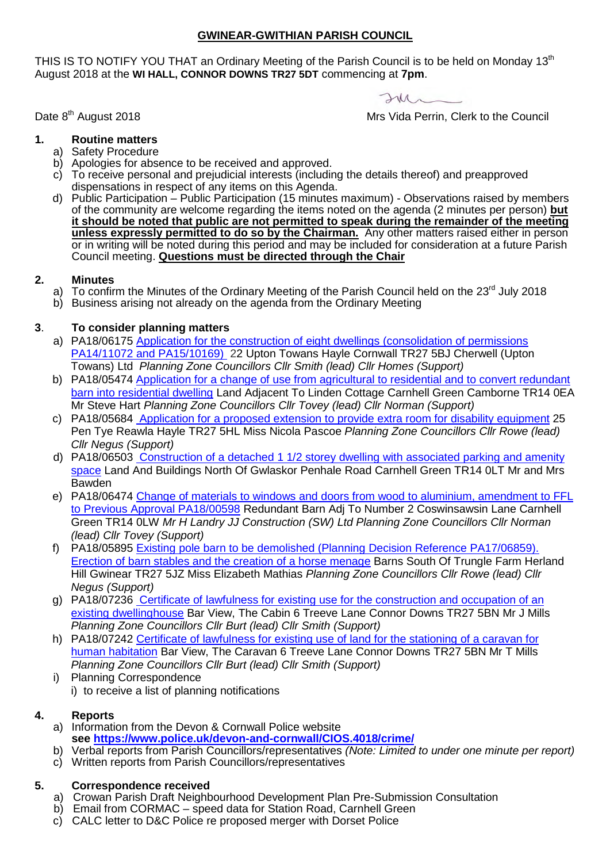## **GWINEAR-GWITHIAN PARISH COUNCIL**

THIS IS TO NOTIFY YOU THAT an Ordinary Meeting of the Parish Council is to be held on Monday 13<sup>th</sup> August 2018 at the **WI HALL, CONNOR DOWNS TR27 5DT** commencing at **7pm**.

 $2m-$ 

Mrs Vida Perrin, Clerk to the Council

Date 8<sup>th</sup> August 2018

- **1. Routine matters**
	- a) Safety Procedure
	- b) Apologies for absence to be received and approved.
	- c) To receive personal and prejudicial interests (including the details thereof) and preapproved dispensations in respect of any items on this Agenda.
	- d) Public Participation Public Participation (15 minutes maximum) Observations raised by members of the community are welcome regarding the items noted on the agenda (2 minutes per person) **but it should be noted that public are not permitted to speak during the remainder of the meeting unless expressly permitted to do so by the Chairman.** Any other matters raised either in person or in writing will be noted during this period and may be included for consideration at a future Parish Council meeting. **Questions must be directed through the Chair**

## **2. Minutes**

- a) To confirm the Minutes of the Ordinary Meeting of the Parish Council held on the 23<sup>rd</sup> July 2018
- b) Business arising not already on the agenda from the Ordinary Meeting

# **3**. **To consider planning matters**

- a) PA18/06175 [Application for the construction of eight dwellings \(consolidation of permissions](http://planning.cornwall.gov.uk/online-applications/applicationDetails.do?activeTab=summary&keyVal=PB8ZF9FGHBQ00&prevPage=inTray)  [PA14/11072 and PA15/10169\)](http://planning.cornwall.gov.uk/online-applications/applicationDetails.do?activeTab=summary&keyVal=PB8ZF9FGHBQ00&prevPage=inTray) 22 Upton Towans Hayle Cornwall TR27 5BJ Cherwell (Upton Towans) Ltd *Planning Zone Councillors Cllr Smith (lead) Cllr Homes (Support)*
- b) PA18/05474 [Application for a change of use from agricultural to residential and to convert redundant](http://planning.cornwall.gov.uk/online-applications/applicationDetails.do?activeTab=summary&keyVal=PA7A0XFG1T200)  [barn into residential dwelling](http://planning.cornwall.gov.uk/online-applications/applicationDetails.do?activeTab=summary&keyVal=PA7A0XFG1T200) Land Adjacent To Linden Cottage Carnhell Green Camborne TR14 0EA Mr Steve Hart *Planning Zone Councillors Cllr Tovey (lead) Cllr Norman (Support)*
- c) PA18/05684 [Application for a proposed extension to provide extra room for disability equipment](http://planning.cornwall.gov.uk/online-applications/consultee/list.do?activeSubTab=inTray) 25 Pen Tye Reawla Hayle TR27 5HL Miss Nicola Pascoe *Planning Zone Councillors Cllr Rowe (lead) Cllr Negus (Support)*
- d) PA18/06503 [Construction of a detached 1 1/2 storey dwelling with associated parking and amenity](http://planning.cornwall.gov.uk/online-applications/applicationDetails.do?activeTab=summary&keyVal=PBR1B3FGKTJ00&prevPage=inTray)  [space](http://planning.cornwall.gov.uk/online-applications/applicationDetails.do?activeTab=summary&keyVal=PBR1B3FGKTJ00&prevPage=inTray) Land And Buildings North Of Gwlaskor Penhale Road Carnhell Green TR14 0LT Mr and Mrs Bawden
- e) PA18/06474 Change of materials to windows and doors from wood to aluminium, amendment to FFL [to Previous Approval PA18/00598](http://planning.cornwall.gov.uk/online-applications/applicationDetails.do?activeTab=summary&keyVal=PBPHV9FGJSG00&prevPage=inTray) Redundant Barn Adj To Number 2 Coswinsawsin Lane Carnhell Green TR14 0LW *Mr H Landry JJ Construction (SW) Ltd Planning Zone Councillors Cllr Norman (lead) Cllr Tovey (Support)*
- f) PA18/05895 Existing [pole barn to be demolished \(Planning Decision Reference PA17/06859\).](http://planning.cornwall.gov.uk/online-applications/applicationDetails.do?activeTab=summary&keyVal=PAVD3BFGG6M00&prevPage=inTray)  [Erection of barn stables and the creation of a horse menage](http://planning.cornwall.gov.uk/online-applications/applicationDetails.do?activeTab=summary&keyVal=PAVD3BFGG6M00&prevPage=inTray) Barns South Of Trungle Farm Herland Hill Gwinear TR27 5JZ Miss Elizabeth Mathias *Planning Zone Councillors Cllr Rowe (lead) Cllr Negus (Support)*
- g) PA18/07236 [Certificate of lawfulness for existing use for the construction and occupation of an](http://planning.cornwall.gov.uk/online-applications/applicationDetails.do?activeTab=summary&keyVal=PCU028FGK3Z00)  [existing dwellinghouse](http://planning.cornwall.gov.uk/online-applications/applicationDetails.do?activeTab=summary&keyVal=PCU028FGK3Z00) Bar View, The Cabin 6 Treeve Lane Connor Downs TR27 5BN Mr J Mills *Planning Zone Councillors Cllr Burt (lead) Cllr Smith (Support)*
- h) PA18/07242 [Certificate of lawfulness for existing use of land for the stationing of a caravan for](http://planning.cornwall.gov.uk/online-applications/applicationDetails.do?activeTab=summary&keyVal=PCU2UUFGK6V00&prevPage=inTray)  [human habitation](http://planning.cornwall.gov.uk/online-applications/applicationDetails.do?activeTab=summary&keyVal=PCU2UUFGK6V00&prevPage=inTray) Bar View, The Caravan 6 Treeve Lane Connor Downs TR27 5BN Mr T Mills *Planning Zone Councillors Cllr Burt (lead) Cllr Smith (Support)*
- i) Planning Correspondence
	- i) to receive a list of planning notifications

## **4. Reports**

- a) Information from the Devon & Cornwall Police website **see<https://www.police.uk/devon-and-cornwall/CIOS.4018/crime/>**
- b) Verbal reports from Parish Councillors/representatives *(Note: Limited to under one minute per report)*
- c) Written reports from Parish Councillors/representatives

#### **5. Correspondence received**

- a) Crowan Parish Draft Neighbourhood Development Plan Pre-Submission Consultation
- b) Email from CORMAC speed data for Station Road, Carnhell Green
- c) CALC letter to D&C Police re proposed merger with Dorset Police